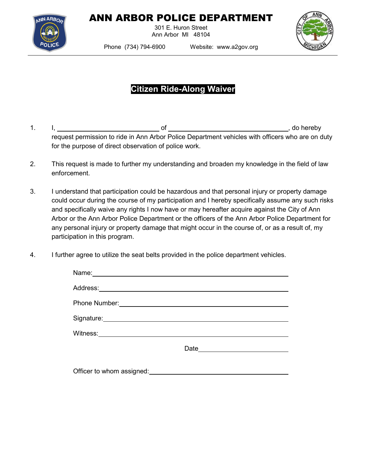

## ANN ARBOR POLICE DEPARTMENT

301 E. Huron Street Ann Arbor MI 48104



Phone (734) 794-6900 Website: www.a2gov.org

## **Citizen Ride-Along Waiver**

- 1. I, of , do hereby request permission to ride in Ann Arbor Police Department vehicles with officers who are on duty for the purpose of direct observation of police work.
- 2. This request is made to further my understanding and broaden my knowledge in the field of law enforcement.
- 3. I understand that participation could be hazardous and that personal injury or property damage could occur during the course of my participation and I hereby specifically assume any such risks and specifically waive any rights I now have or may hereafter acquire against the City of Ann Arbor or the Ann Arbor Police Department or the officers of the Ann Arbor Police Department for any personal injury or property damage that might occur in the course of, or as a result of, my participation in this program.
- 4. I further agree to utilize the seat belts provided in the police department vehicles.

| Signature: <u>contained</u> and contained a state of the state of the state of the state of the state of the state of the state of the state of the state of the state of the state of the state of the state of the state of the s |                                |
|-------------------------------------------------------------------------------------------------------------------------------------------------------------------------------------------------------------------------------------|--------------------------------|
|                                                                                                                                                                                                                                     |                                |
|                                                                                                                                                                                                                                     | Date <u>__________________</u> |
|                                                                                                                                                                                                                                     |                                |
| Officer to whom assigned:                                                                                                                                                                                                           |                                |